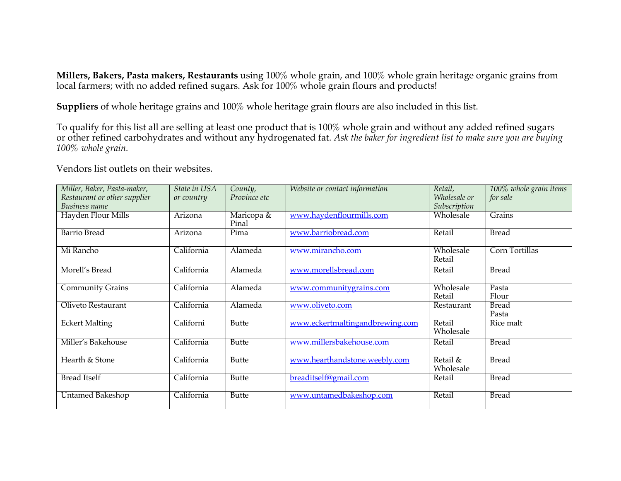**Millers, Bakers, Pasta makers, Restaurants** using 100% whole grain, and 100% whole grain heritage organic grains from local farmers; with no added refined sugars. Ask for 100% whole grain flours and products!

**Suppliers** of whole heritage grains and 100% whole heritage grain flours are also included in this list.

To qualify for this list all are selling at least one product that is 100% whole grain and without any added refined sugars or other refined carbohydrates and without any hydrogenated fat. *Ask the baker for ingredient list to make sure you are buying 100% whole grain.*

Vendors list outlets on their websites.

| Miller, Baker, Pasta-maker,<br>Restaurant or other supplier<br>Business name | State in USA<br>or country | County,<br>Province etc | Website or contact information  | Retail,<br>Wholesale or<br>Subscription | 100% whole grain items<br>for sale |
|------------------------------------------------------------------------------|----------------------------|-------------------------|---------------------------------|-----------------------------------------|------------------------------------|
| Hayden Flour Mills                                                           | Arizona                    | Maricopa &<br>Pinal     | www.haydenflourmills.com        | Wholesale                               | Grains                             |
| <b>Barrio Bread</b>                                                          | Arizona                    | Pima                    | www.barriobread.com             | Retail                                  | <b>Bread</b>                       |
| Mi Rancho                                                                    | California                 | Alameda                 | www.mirancho.com                | Wholesale<br>Retail                     | Corn Tortillas                     |
| Morell's Bread                                                               | California                 | Alameda                 | www.morellsbread.com            | Retail                                  | <b>Bread</b>                       |
| <b>Community Grains</b>                                                      | California                 | Alameda                 | www.communitygrains.com         | Wholesale<br>Retail                     | Pasta<br>Flour                     |
| Oliveto Restaurant                                                           | California                 | Alameda                 | www.oliveto.com                 | Restaurant                              | <b>Bread</b><br>Pasta              |
| <b>Eckert Malting</b>                                                        | Californi                  | <b>Butte</b>            | www.eckertmaltingandbrewing.com | Retail<br>Wholesale                     | Rice malt                          |
| Miller's Bakehouse                                                           | California                 | <b>Butte</b>            | www.millersbakehouse.com        | Retail                                  | <b>Bread</b>                       |
| Hearth & Stone                                                               | California                 | <b>Butte</b>            | www.hearthandstone.weebly.com   | Retail &<br>Wholesale                   | <b>Bread</b>                       |
| <b>Bread Itself</b>                                                          | California                 | <b>Butte</b>            | breaditself@gmail.com           | Retail                                  | <b>Bread</b>                       |
| <b>Untamed Bakeshop</b>                                                      | California                 | <b>Butte</b>            | www.untamedbakeshop.com         | Retail                                  | <b>Bread</b>                       |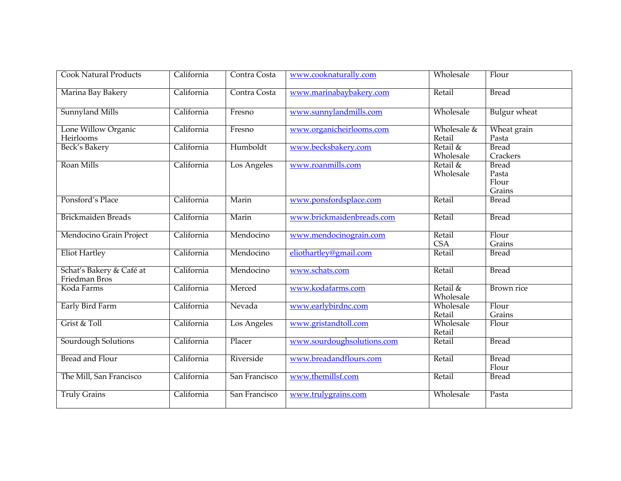| <b>Cook Natural Products</b>              | California | Contra Costa  | www.cooknaturally.com      | Wholesale             | Flour                                    |
|-------------------------------------------|------------|---------------|----------------------------|-----------------------|------------------------------------------|
| Marina Bay Bakery                         | California | Contra Costa  | www.marinabaybakery.com    | Retail                | <b>Bread</b>                             |
| <b>Sunnyland Mills</b>                    | California | Fresno        | www.sunnylandmills.com     | Wholesale             | <b>Bulgur</b> wheat                      |
| Lone Willow Organic<br>Heirlooms          | California | Fresno        | www.organicheirlooms.com   | Wholesale &<br>Retail | Wheat grain<br>Pasta                     |
| <b>Beck's Bakery</b>                      | California | Humboldt      | www.becksbakery.com        | Retail &<br>Wholesale | <b>Bread</b><br>Crackers                 |
| Roan Mills                                | California | Los Angeles   | www.roanmills.com          | Retail &<br>Wholesale | <b>Bread</b><br>Pasta<br>Flour<br>Grains |
| Ponsford's Place                          | California | Marin         | www.ponsfordsplace.com     | Retail                | <b>Bread</b>                             |
| <b>Brickmaiden Breads</b>                 | California | Marin         | www.brickmaidenbreads.com  | Retail                | <b>Bread</b>                             |
| Mendocino Grain Project                   | California | Mendocino     | www.mendocinograin.com     | Retail<br><b>CSA</b>  | Flour<br>Grains                          |
| <b>Eliot Hartley</b>                      | California | Mendocino     | eliothartley@gmail.com     | Retail                | <b>Bread</b>                             |
| Schat's Bakery & Café at<br>Friedman Bros | California | Mendocino     | www.schats.com             | Retail                | <b>Bread</b>                             |
| Koda Farms                                | California | Merced        | www.kodafarms.com          | Retail &<br>Wholesale | <b>Brown</b> rice                        |
| <b>Early Bird Farm</b>                    | California | Nevada        | www.earlybirdnc.com        | Wholesale<br>Retail   | Flour<br>Grains                          |
| Grist & Toll                              | California | Los Angeles   | www.gristandtoll.com       | Wholesale<br>Retail   | Flour                                    |
| Sourdough Solutions                       | California | Placer        | www.sourdoughsolutions.com | Retail                | <b>Bread</b>                             |
| <b>Bread and Flour</b>                    | California | Riverside     | www.breadandflours.com     | Retail                | <b>Bread</b><br>Flour                    |
| The Mill, San Francisco                   | California | San Francisco | www.themillsf.com          | Retail                | <b>Bread</b>                             |
| <b>Truly Grains</b>                       | California | San Francisco | www.trulygrains.com        | Wholesale             | Pasta                                    |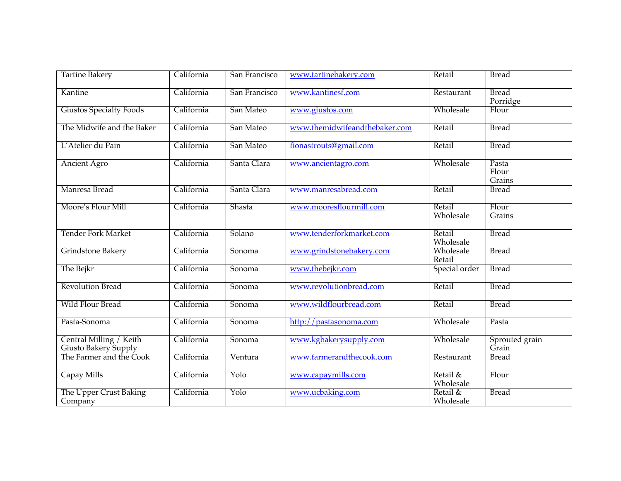| <b>Tartine Bakery</b>                           | California | San Francisco               | www.tartinebakery.com         | Retail                | <b>Bread</b>             |
|-------------------------------------------------|------------|-----------------------------|-------------------------------|-----------------------|--------------------------|
| Kantine                                         | California | San Francisco               | www.kantinesf.com             | Restaurant            | <b>Bread</b><br>Porridge |
| <b>Giustos Specialty Foods</b>                  | California | San Mateo                   | www.giustos.com               | Wholesale             | Flour                    |
| The Midwife and the Baker                       | California | San Mateo                   | www.themidwifeandthebaker.com | Retail                | <b>Bread</b>             |
| L'Atelier du Pain                               | California | San Mateo                   | fionastrouts@gmail.com        | Retail                | <b>Bread</b>             |
| <b>Ancient Agro</b>                             | California | Santa Clara                 | www.ancientagro.com           | Wholesale             | Pasta<br>Flour<br>Grains |
| Manresa Bread                                   | California | Santa Clara                 | www.manresabread.com          | Retail                | <b>Bread</b>             |
| Moore's Flour Mill                              | California | Shasta                      | www.mooresflourmill.com       | Retail<br>Wholesale   | Flour<br>Grains          |
| <b>Tender Fork Market</b>                       | California | Solano                      | www.tenderforkmarket.com      | Retail<br>Wholesale   | <b>Bread</b>             |
| Grindstone Bakery                               | California | Sonoma                      | www.grindstonebakery.com      | Wholesale<br>Retail   | <b>Bread</b>             |
| The Bejkr                                       | California | Sonoma                      | www.thebejkr.com              | Special order         | <b>Bread</b>             |
| <b>Revolution Bread</b>                         | California | Sonoma                      | www.revolutionbread.com       | Retail                | <b>Bread</b>             |
| <b>Wild Flour Bread</b>                         | California | Sonoma                      | www.wildflourbread.com        | Retail                | <b>Bread</b>             |
| Pasta-Sonoma                                    | California | Sonoma                      | http://pastasonoma.com        | Wholesale             | Pasta                    |
| Central Milling / Keith<br>Giusto Bakery Supply | California | $\overline{\text{S}}$ onoma | www.kgbakerysupply.com        | Wholesale             | Sprouted grain<br>Grain  |
| The Farmer and the Cook                         | California | Ventura                     | www.farmerandthecook.com      | Restaurant            | <b>Bread</b>             |
| Capay Mills                                     | California | Yolo                        | www.capaymills.com            | Retail &<br>Wholesale | Flour                    |
| The Upper Crust Baking<br>Company               | California | Yolo                        | www.ucbaking.com              | Retail &<br>Wholesale | <b>Bread</b>             |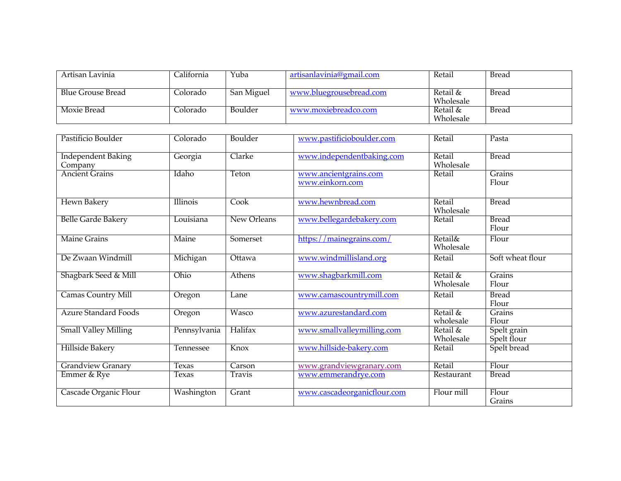| Artisan Lavinia          | California | Yuba       | artisanlavinia@gmail.com | Retail                | Bread        |
|--------------------------|------------|------------|--------------------------|-----------------------|--------------|
| <b>Blue Grouse Bread</b> | Colorado   | San Miguel | www.bluegrousebread.com  | Retail &<br>Wholesale | Bread        |
| Moxie Bread              | .clorado   | Boulder    | www.moxiebreadco.com     | Retail &<br>Wholesale | <b>Bread</b> |

| Pastificio Boulder                   | Colorado     | Boulder     | www.pastificioboulder.com                | Retail                          | Pasta                      |
|--------------------------------------|--------------|-------------|------------------------------------------|---------------------------------|----------------------------|
| <b>Independent Baking</b><br>Company | Georgia      | Clarke      | www.independentbaking.com                | Retail<br>Wholesale             | <b>Bread</b>               |
| <b>Ancient Grains</b>                | Idaho        | Teton       | www.ancientgrains.com<br>www.einkorn.com | Retail                          | Grains<br>Flour            |
| Hewn Bakery                          | Illinois     | Cook        | www.hewnbread.com                        | Retail<br>Wholesale             | <b>Bread</b>               |
| <b>Belle Garde Bakery</b>            | Louisiana    | New Orleans | www.bellegardebakery.com                 | Retail                          | <b>Bread</b><br>Flour      |
| <b>Maine Grains</b>                  | Maine        | Somerset    | https://mainegrains.com/                 | <b>Retail&amp;</b><br>Wholesale | Flour                      |
| De Zwaan Windmill                    | Michigan     | Ottawa      | www.windmillisland.org                   | Retail                          | Soft wheat flour           |
| Shagbark Seed & Mill                 | Ohio         | Athens      | www.shagbarkmill.com                     | Retail &<br>Wholesale           | Grains<br>Flour            |
| <b>Camas Country Mill</b>            | Oregon       | Lane        | www.camascountrymill.com                 | Retail                          | <b>Bread</b><br>Flour      |
| <b>Azure Standard Foods</b>          | Oregon       | Wasco       | www.azurestandard.com                    | Retail &<br>wholesale           | Grains<br>Flour            |
| <b>Small Valley Milling</b>          | Pennsylvania | Halifax     | www.smallvalleymilling.com               | Retail &<br>Wholesale           | Spelt grain<br>Spelt flour |
| Hillside Bakery                      | Tennessee    | Knox        | www.hillside-bakery.com                  | Retail                          | Spelt bread                |
| <b>Grandview Granary</b>             | Texas        | Carson      | www.grandviewgranary.com                 | Retail                          | Flour                      |
| Emmer & Rye                          | Texas        | Travis      | www.emmerandrye.com                      | Restaurant                      | <b>Bread</b>               |
| Cascade Organic Flour                | Washington   | Grant       | www.cascadeorganicflour.com              | Flour mill                      | Flour<br>Grains            |